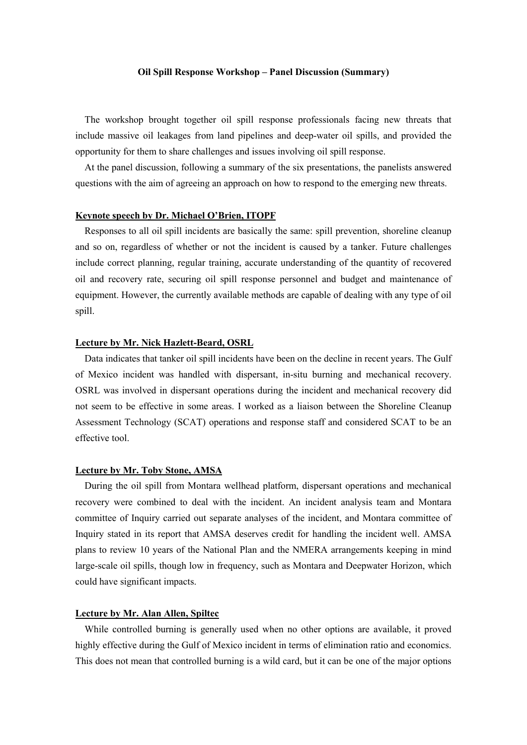#### **Oil Spill Response Workshop – Panel Discussion (Summary)**

The workshop brought together oil spill response professionals facing new threats that include massive oil leakages from land pipelines and deep-water oil spills, and provided the opportunity for them to share challenges and issues involving oil spill response.

At the panel discussion, following a summary of the six presentations, the panelists answered questions with the aim of agreeing an approach on how to respond to the emerging new threats.

#### **Keynote speech by Dr. Michael O'Brien, ITOPF**

Responses to all oil spill incidents are basically the same: spill prevention, shoreline cleanup and so on, regardless of whether or not the incident is caused by a tanker. Future challenges include correct planning, regular training, accurate understanding of the quantity of recovered oil and recovery rate, securing oil spill response personnel and budget and maintenance of equipment. However, the currently available methods are capable of dealing with any type of oil spill.

## **Lecture by Mr. Nick Hazlett-Beard, OSRL**

Data indicates that tanker oil spill incidents have been on the decline in recent years. The Gulf of Mexico incident was handled with dispersant, in-situ burning and mechanical recovery. OSRL was involved in dispersant operations during the incident and mechanical recovery did not seem to be effective in some areas. I worked as a liaison between the Shoreline Cleanup Assessment Technology (SCAT) operations and response staff and considered SCAT to be an effective tool.

### **Lecture by Mr. Toby Stone, AMSA**

During the oil spill from Montara wellhead platform, dispersant operations and mechanical recovery were combined to deal with the incident. An incident analysis team and Montara committee of Inquiry carried out separate analyses of the incident, and Montara committee of Inquiry stated in its report that AMSA deserves credit for handling the incident well. AMSA plans to review 10 years of the National Plan and the NMERA arrangements keeping in mind large-scale oil spills, though low in frequency, such as Montara and Deepwater Horizon, which could have significant impacts.

### **Lecture by Mr. Alan Allen, Spiltec**

While controlled burning is generally used when no other options are available, it proved highly effective during the Gulf of Mexico incident in terms of elimination ratio and economics. This does not mean that controlled burning is a wild card, but it can be one of the major options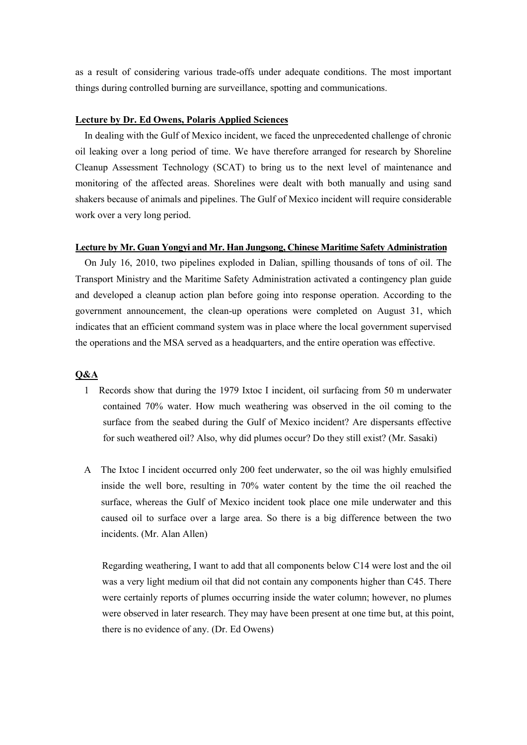as a result of considering various trade-offs under adequate conditions. The most important things during controlled burning are surveillance, spotting and communications.

### **Lecture by Dr. Ed Owens, Polaris Applied Sciences**

In dealing with the Gulf of Mexico incident, we faced the unprecedented challenge of chronic oil leaking over a long period of time. We have therefore arranged for research by Shoreline Cleanup Assessment Technology (SCAT) to bring us to the next level of maintenance and monitoring of the affected areas. Shorelines were dealt with both manually and using sand shakers because of animals and pipelines. The Gulf of Mexico incident will require considerable work over a very long period.

# **Lecture by Mr. Guan Yongyi and Mr. Han Jungsong, Chinese Maritime Safety Administration**

On July 16, 2010, two pipelines exploded in Dalian, spilling thousands of tons of oil. The Transport Ministry and the Maritime Safety Administration activated a contingency plan guide and developed a cleanup action plan before going into response operation. According to the government announcement, the clean-up operations were completed on August 31, which indicates that an efficient command system was in place where the local government supervised the operations and the MSA served as a headquarters, and the entire operation was effective.

### **Q&A**

- 1 Records show that during the 1979 Ixtoc I incident, oil surfacing from 50 m underwater contained 70% water. How much weathering was observed in the oil coming to the surface from the seabed during the Gulf of Mexico incident? Are dispersants effective for such weathered oil? Also, why did plumes occur? Do they still exist? (Mr. Sasaki)
- A The Ixtoc I incident occurred only 200 feet underwater, so the oil was highly emulsified inside the well bore, resulting in 70% water content by the time the oil reached the surface, whereas the Gulf of Mexico incident took place one mile underwater and this caused oil to surface over a large area. So there is a big difference between the two incidents. (Mr. Alan Allen)

Regarding weathering, I want to add that all components below C14 were lost and the oil was a very light medium oil that did not contain any components higher than C45. There were certainly reports of plumes occurring inside the water column; however, no plumes were observed in later research. They may have been present at one time but, at this point, there is no evidence of any. (Dr. Ed Owens)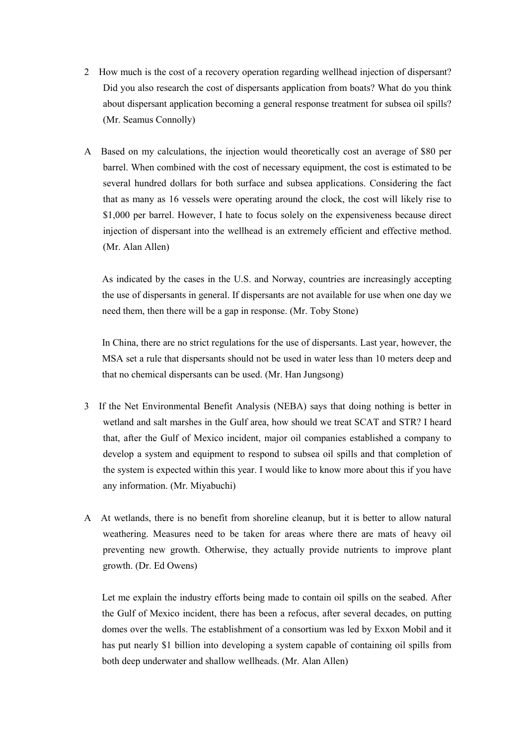- 2 How much is the cost of a recovery operation regarding wellhead injection of dispersant? Did you also research the cost of dispersants application from boats? What do you think about dispersant application becoming a general response treatment for subsea oil spills? (Mr. Seamus Connolly)
- A Based on my calculations, the injection would theoretically cost an average of \$80 per barrel. When combined with the cost of necessary equipment, the cost is estimated to be several hundred dollars for both surface and subsea applications. Considering the fact that as many as 16 vessels were operating around the clock, the cost will likely rise to \$1,000 per barrel. However, I hate to focus solely on the expensiveness because direct injection of dispersant into the wellhead is an extremely efficient and effective method. (Mr. Alan Allen)

As indicated by the cases in the U.S. and Norway, countries are increasingly accepting the use of dispersants in general. If dispersants are not available for use when one day we need them, then there will be a gap in response. (Mr. Toby Stone)

In China, there are no strict regulations for the use of dispersants. Last year, however, the MSA set a rule that dispersants should not be used in water less than 10 meters deep and that no chemical dispersants can be used. (Mr. Han Jungsong)

- 3 If the Net Environmental Benefit Analysis (NEBA) says that doing nothing is better in wetland and salt marshes in the Gulf area, how should we treat SCAT and STR? I heard that, after the Gulf of Mexico incident, major oil companies established a company to develop a system and equipment to respond to subsea oil spills and that completion of the system is expected within this year. I would like to know more about this if you have any information. (Mr. Miyabuchi)
- A At wetlands, there is no benefit from shoreline cleanup, but it is better to allow natural weathering. Measures need to be taken for areas where there are mats of heavy oil preventing new growth. Otherwise, they actually provide nutrients to improve plant growth. (Dr. Ed Owens)

Let me explain the industry efforts being made to contain oil spills on the seabed. After the Gulf of Mexico incident, there has been a refocus, after several decades, on putting domes over the wells. The establishment of a consortium was led by Exxon Mobil and it has put nearly \$1 billion into developing a system capable of containing oil spills from both deep underwater and shallow wellheads. (Mr. Alan Allen)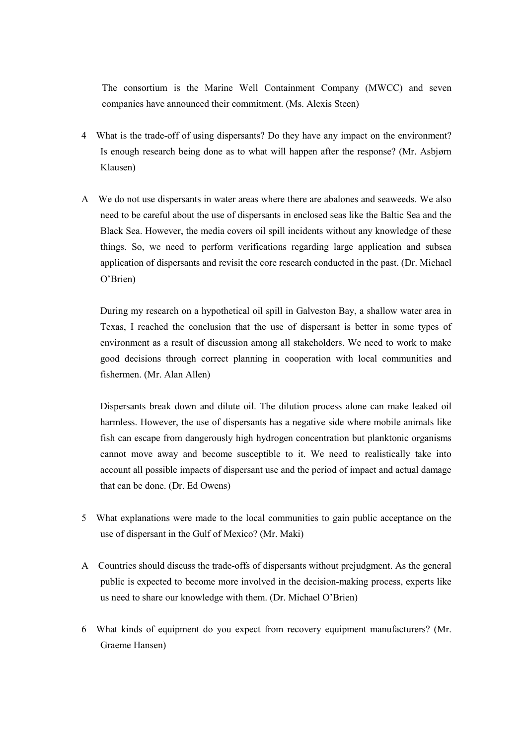The consortium is the Marine Well Containment Company (MWCC) and seven companies have announced their commitment. (Ms. Alexis Steen)

- 4 What is the trade-off of using dispersants? Do they have any impact on the environment? Is enough research being done as to what will happen after the response? (Mr. Asbjørn Klausen)
- A We do not use dispersants in water areas where there are abalones and seaweeds. We also need to be careful about the use of dispersants in enclosed seas like the Baltic Sea and the Black Sea. However, the media covers oil spill incidents without any knowledge of these things. So, we need to perform verifications regarding large application and subsea application of dispersants and revisit the core research conducted in the past. (Dr. Michael O'Brien)

During my research on a hypothetical oil spill in Galveston Bay, a shallow water area in Texas, I reached the conclusion that the use of dispersant is better in some types of environment as a result of discussion among all stakeholders. We need to work to make good decisions through correct planning in cooperation with local communities and fishermen. (Mr. Alan Allen)

Dispersants break down and dilute oil. The dilution process alone can make leaked oil harmless. However, the use of dispersants has a negative side where mobile animals like fish can escape from dangerously high hydrogen concentration but planktonic organisms cannot move away and become susceptible to it. We need to realistically take into account all possible impacts of dispersant use and the period of impact and actual damage that can be done. (Dr. Ed Owens)

- 5 What explanations were made to the local communities to gain public acceptance on the use of dispersant in the Gulf of Mexico? (Mr. Maki)
- A Countries should discuss the trade-offs of dispersants without prejudgment. As the general public is expected to become more involved in the decision-making process, experts like us need to share our knowledge with them. (Dr. Michael O'Brien)
- 6 What kinds of equipment do you expect from recovery equipment manufacturers? (Mr. Graeme Hansen)